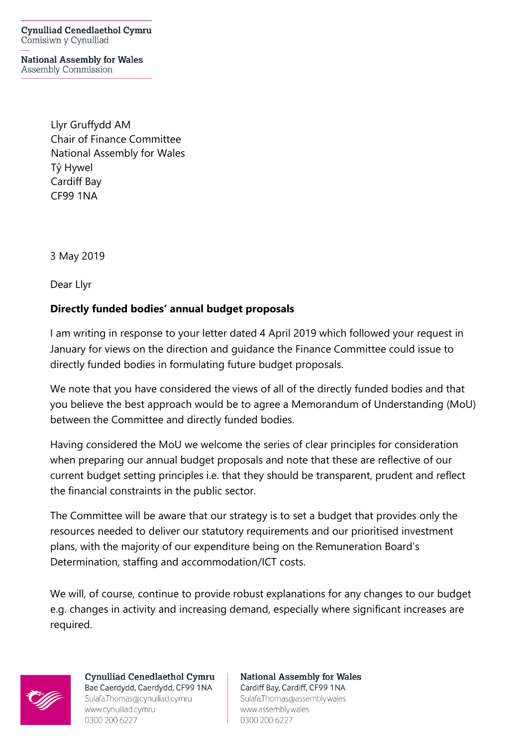**Cynulliad Cenedlaethol Cymru** Comisiwn y Cynulliad

**National Assembly for Wales** Assembly Commission

> Llyr Gruffydd AM Chair of Finance Committee National Assembly for Wales Tŷ Hywel Cardiff Bay CF99 1NA

3 May 2019

Dear Llyr

## **Directly funded bodies' annual budget proposals**

I am writing in response to your letter dated 4 April 2019 which followed your request in January for views on the direction and guidance the Finance Committee could issue to directly funded bodies in formulating future budget proposals.

We note that you have considered the views of all of the directly funded bodies and that you believe the best approach would be to agree a Memorandum of Understanding (MoU) between the Committee and directly funded bodies.

Having considered the MoU we welcome the series of clear principles for consideration when preparing our annual budget proposals and note that these are reflective of our current budget setting principles i.e. that they should be transparent, prudent and reflect the financial constraints in the public sector.

The Committee will be aware that our strategy is to set a budget that provides only the resources needed to deliver our statutory requirements and our prioritised investment plans, with the majority of our expenditure being on the Remuneration Board's Determination, staffing and accommodation/ICT costs.

We will, of course, continue to provide robust explanations for any changes to our budget e.g. changes in activity and increasing demand, especially where significant increases are required.



**Cynulliad Cenedlaethol Cymru** Bae Caerdydd, Caerdydd, CF99 1NA Sulafa.Thomas@cynulliad.cymru www.cynulliad.cymru 0300 200 6227

**National Assembly for Wales** Cardiff Bay, Cardiff, CF99 1NA Sulafa, Thomas@assembly.wales www.assembly.wales 0300 200 6227